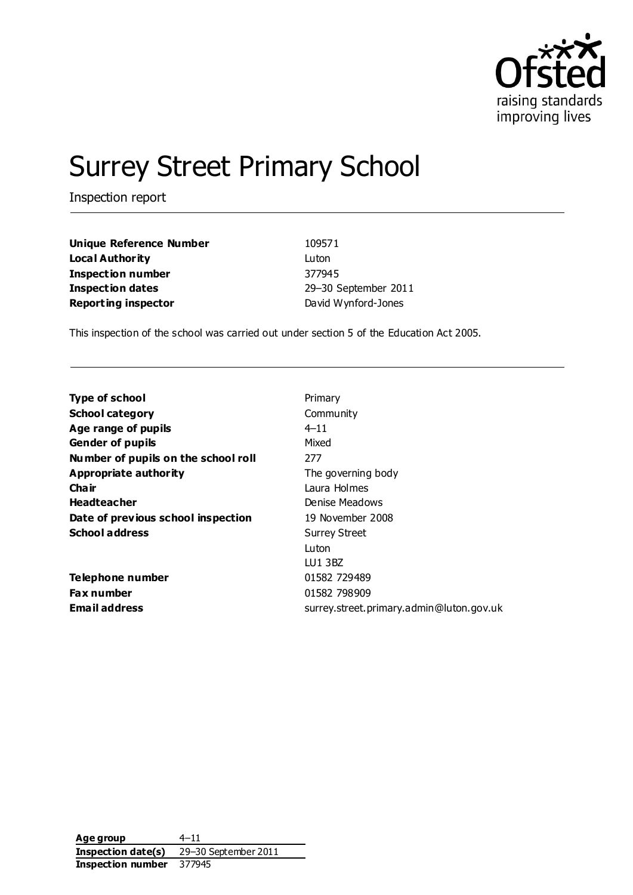

# Surrey Street Primary School

Inspection report

| <b>Unique Reference Number</b> | 109571              |
|--------------------------------|---------------------|
| Local Authority                | Luton               |
| Inspection number              | 377945              |
| Inspection dates               | 29-30 September 201 |
| <b>Reporting inspector</b>     | David Wynford-Jones |

**Unique Reference Number** 109571 **Inspection number** 377945 **Inspection dates** 29–30 September 2011

This inspection of the school was carried out under section 5 of the Education Act 2005.

| <b>Type of school</b>               | Primary                                  |
|-------------------------------------|------------------------------------------|
| <b>School category</b>              | Community                                |
| Age range of pupils                 | $4 - 11$                                 |
| <b>Gender of pupils</b>             | Mixed                                    |
| Number of pupils on the school roll | 277                                      |
| <b>Appropriate authority</b>        | The governing body                       |
| Cha ir                              | Laura Holmes                             |
| <b>Headteacher</b>                  | Denise Meadows                           |
| Date of previous school inspection  | 19 November 2008                         |
| <b>School address</b>               | <b>Surrey Street</b>                     |
|                                     | Luton                                    |
|                                     | LU1 3BZ                                  |
| Telephone number                    | 01582 729489                             |
| <b>Fax number</b>                   | 01582 798909                             |
| <b>Email address</b>                | surrey.street.primary.admin@luton.gov.uk |

**Age group** 4–11 **Inspection date(s)** 29–30 September 2011 **Inspection number** 377945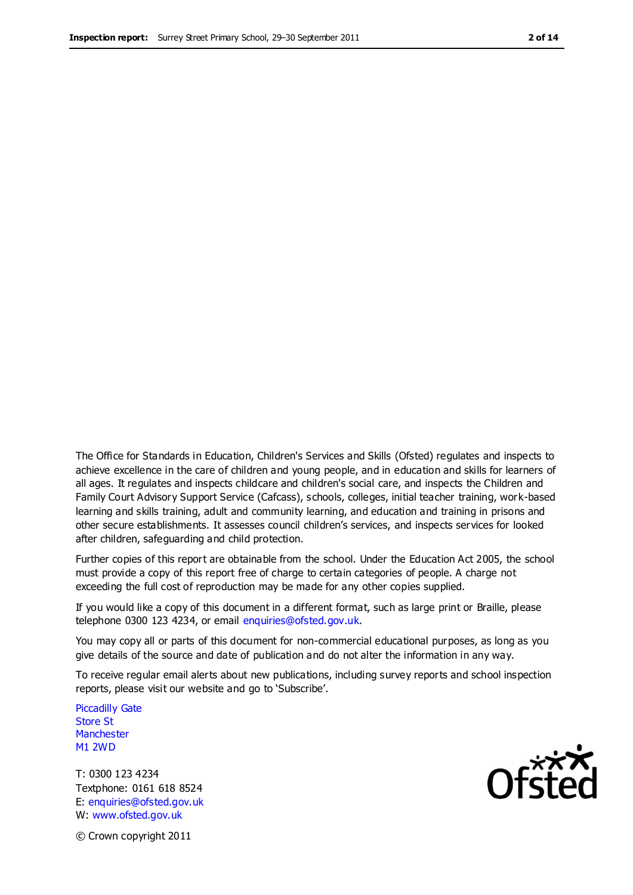The Office for Standards in Education, Children's Services and Skills (Ofsted) regulates and inspects to achieve excellence in the care of children and young people, and in education and skills for learners of all ages. It regulates and inspects childcare and children's social care, and inspects the Children and Family Court Advisory Support Service (Cafcass), schools, colleges, initial teacher training, work-based learning and skills training, adult and community learning, and education and training in prisons and other secure establishments. It assesses council children's services, and inspects services for looked after children, safeguarding and child protection.

Further copies of this report are obtainable from the school. Under the Education Act 2005, the school must provide a copy of this report free of charge to certain categories of people. A charge not exceeding the full cost of reproduction may be made for any other copies supplied.

If you would like a copy of this document in a different format, such as large print or Braille, please telephone 0300 123 4234, or email enquiries@ofsted.gov.uk.

You may copy all or parts of this document for non-commercial educational purposes, as long as you give details of the source and date of publication and do not alter the information in any way.

To receive regular email alerts about new publications, including survey reports and school inspection reports, please visit our website and go to 'Subscribe'.

Piccadilly Gate Store St **Manchester** M1 2WD

T: 0300 123 4234 Textphone: 0161 618 8524 E: enquiries@ofsted.gov.uk W: www.ofsted.gov.uk

**Ofsted** 

© Crown copyright 2011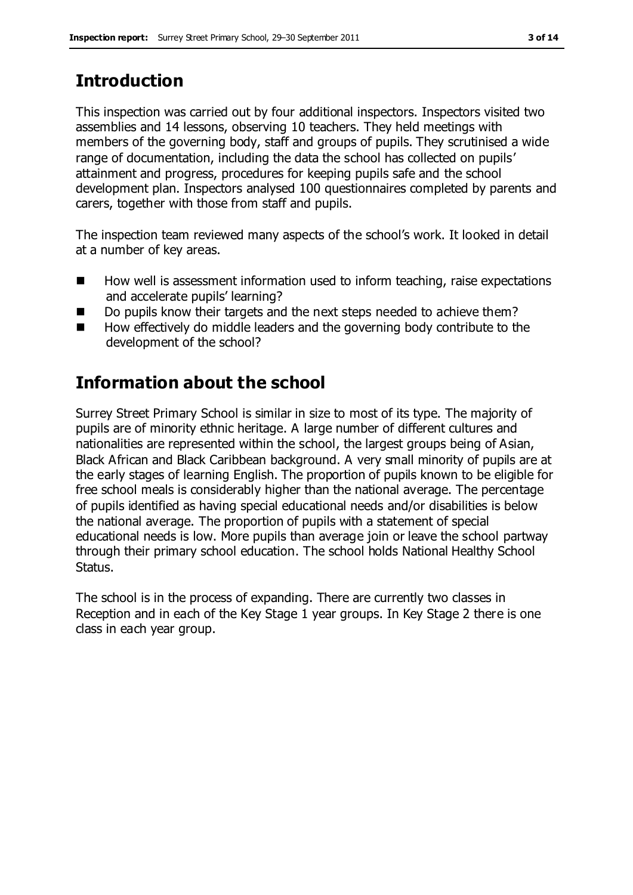# **Introduction**

This inspection was carried out by four additional inspectors. Inspectors visited two assemblies and 14 lessons, observing 10 teachers. They held meetings with members of the governing body, staff and groups of pupils. They scrutinised a wide range of documentation, including the data the school has collected on pupils' attainment and progress, procedures for keeping pupils safe and the school development plan. Inspectors analysed 100 questionnaires completed by parents and carers, together with those from staff and pupils.

The inspection team reviewed many aspects of the school's work. It looked in detail at a number of key areas.

- $\blacksquare$  How well is assessment information used to inform teaching, raise expectations and accelerate pupils' learning?
- Do pupils know their targets and the next steps needed to achieve them?
- $\blacksquare$  How effectively do middle leaders and the governing body contribute to the development of the school?

# **Information about the school**

Surrey Street Primary School is similar in size to most of its type. The majority of pupils are of minority ethnic heritage. A large number of different cultures and nationalities are represented within the school, the largest groups being of Asian, Black African and Black Caribbean background. A very small minority of pupils are at the early stages of learning English. The proportion of pupils known to be eligible for free school meals is considerably higher than the national average. The percentage of pupils identified as having special educational needs and/or disabilities is below the national average. The proportion of pupils with a statement of special educational needs is low. More pupils than average join or leave the school partway through their primary school education. The school holds National Healthy School Status.

The school is in the process of expanding. There are currently two classes in Reception and in each of the Key Stage 1 year groups. In Key Stage 2 there is one class in each year group.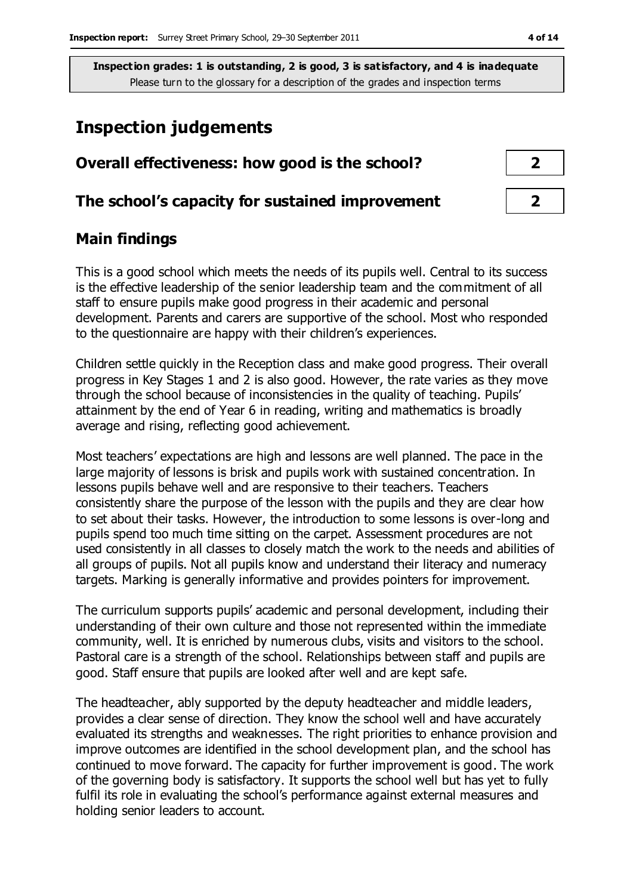## **Inspection judgements**

| Overall effectiveness: how good is the school?  |  |
|-------------------------------------------------|--|
| The school's capacity for sustained improvement |  |

#### **Main findings**

This is a good school which meets the needs of its pupils well. Central to its success is the effective leadership of the senior leadership team and the commitment of all staff to ensure pupils make good progress in their academic and personal development. Parents and carers are supportive of the school. Most who responded to the questionnaire are happy with their children's experiences.

Children settle quickly in the Reception class and make good progress. Their overall progress in Key Stages 1 and 2 is also good. However, the rate varies as they move through the school because of inconsistencies in the quality of teaching. Pupils' attainment by the end of Year 6 in reading, writing and mathematics is broadly average and rising, reflecting good achievement.

Most teachers' expectations are high and lessons are well planned. The pace in the large majority of lessons is brisk and pupils work with sustained concentration. In lessons pupils behave well and are responsive to their teachers. Teachers consistently share the purpose of the lesson with the pupils and they are clear how to set about their tasks. However, the introduction to some lessons is over-long and pupils spend too much time sitting on the carpet. Assessment procedures are not used consistently in all classes to closely match the work to the needs and abilities of all groups of pupils. Not all pupils know and understand their literacy and numeracy targets. Marking is generally informative and provides pointers for improvement.

The curriculum supports pupils' academic and personal development, including their understanding of their own culture and those not represented within the immediate community, well. It is enriched by numerous clubs, visits and visitors to the school. Pastoral care is a strength of the school. Relationships between staff and pupils are good. Staff ensure that pupils are looked after well and are kept safe.

The headteacher, ably supported by the deputy headteacher and middle leaders, provides a clear sense of direction. They know the school well and have accurately evaluated its strengths and weaknesses. The right priorities to enhance provision and improve outcomes are identified in the school development plan, and the school has continued to move forward. The capacity for further improvement is good. The work of the governing body is satisfactory. It supports the school well but has yet to fully fulfil its role in evaluating the school's performance against external measures and holding senior leaders to account.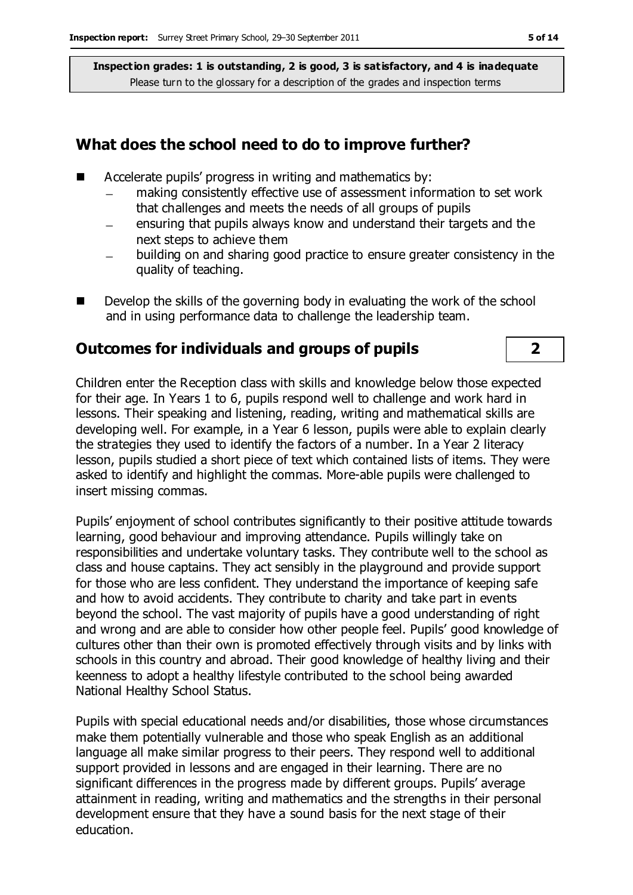#### **What does the school need to do to improve further?**

- Accelerate pupils' progress in writing and mathematics by:
	- making consistently effective use of assessment information to set work  $\overline{\phantom{0}}$ that challenges and meets the needs of all groups of pupils
	- ensuring that pupils always know and understand their targets and the next steps to achieve them
	- building on and sharing good practice to ensure greater consistency in the quality of teaching.
- Develop the skills of the governing body in evaluating the work of the school and in using performance data to challenge the leadership team.

## **Outcomes for individuals and groups of pupils 2**

Children enter the Reception class with skills and knowledge below those expected for their age. In Years 1 to 6, pupils respond well to challenge and work hard in lessons. Their speaking and listening, reading, writing and mathematical skills are developing well. For example, in a Year 6 lesson, pupils were able to explain clearly the strategies they used to identify the factors of a number. In a Year 2 literacy lesson, pupils studied a short piece of text which contained lists of items. They were asked to identify and highlight the commas. More-able pupils were challenged to insert missing commas.

Pupils' enjoyment of school contributes significantly to their positive attitude towards learning, good behaviour and improving attendance. Pupils willingly take on responsibilities and undertake voluntary tasks. They contribute well to the school as class and house captains. They act sensibly in the playground and provide support for those who are less confident. They understand the importance of keeping safe and how to avoid accidents. They contribute to charity and take part in events beyond the school. The vast majority of pupils have a good understanding of right and wrong and are able to consider how other people feel. Pupils' good knowledge of cultures other than their own is promoted effectively through visits and by links with schools in this country and abroad. Their good knowledge of healthy living and their keenness to adopt a healthy lifestyle contributed to the school being awarded National Healthy School Status.

Pupils with special educational needs and/or disabilities, those whose circumstances make them potentially vulnerable and those who speak English as an additional language all make similar progress to their peers. They respond well to additional support provided in lessons and are engaged in their learning. There are no significant differences in the progress made by different groups. Pupils' average attainment in reading, writing and mathematics and the strengths in their personal development ensure that they have a sound basis for the next stage of their education.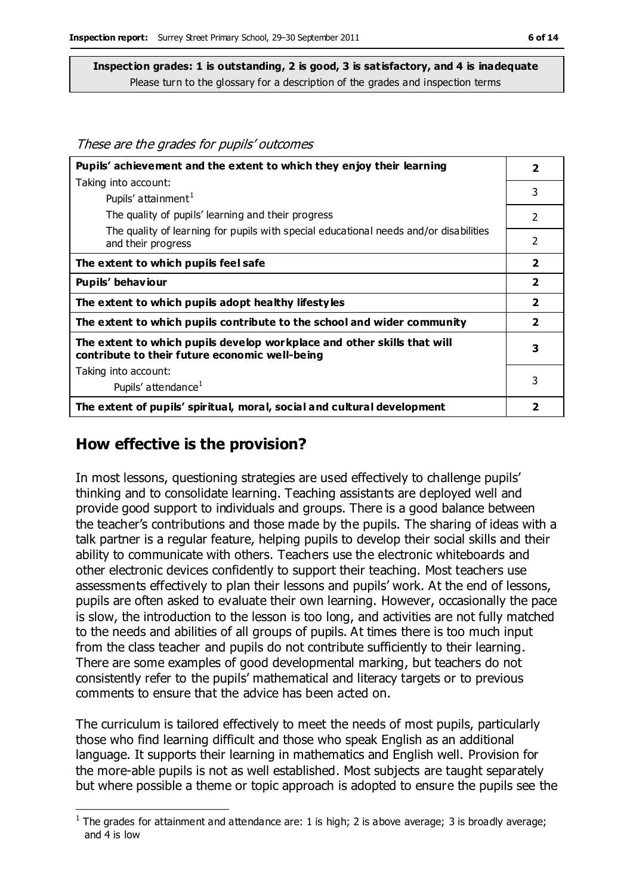These are the grades for pupils' outcomes

| Pupils' achievement and the extent to which they enjoy their learning                                                     | 2                       |
|---------------------------------------------------------------------------------------------------------------------------|-------------------------|
| Taking into account:                                                                                                      |                         |
| Pupils' attainment <sup>1</sup>                                                                                           | 3                       |
| The quality of pupils' learning and their progress                                                                        | $\mathcal{P}$           |
| The quality of learning for pupils with special educational needs and/or disabilities<br>and their progress               | 2                       |
| The extent to which pupils feel safe                                                                                      | $\overline{2}$          |
| Pupils' behaviour                                                                                                         | $\overline{\mathbf{2}}$ |
| The extent to which pupils adopt healthy lifestyles                                                                       | $\overline{\mathbf{2}}$ |
| The extent to which pupils contribute to the school and wider community                                                   | $\overline{2}$          |
| The extent to which pupils develop workplace and other skills that will<br>contribute to their future economic well-being | 3                       |
| Taking into account:                                                                                                      |                         |
| Pupils' attendance <sup>1</sup>                                                                                           | 3                       |
| The extent of pupils' spiritual, moral, social and cultural development                                                   | 2                       |

#### **How effective is the provision?**

In most lessons, questioning strategies are used effectively to challenge pupils' thinking and to consolidate learning. Teaching assistants are deployed well and provide good support to individuals and groups. There is a good balance between the teacher's contributions and those made by the pupils. The sharing of ideas with a talk partner is a regular feature, helping pupils to develop their social skills and their ability to communicate with others. Teachers use the electronic whiteboards and other electronic devices confidently to support their teaching. Most teachers use assessments effectively to plan their lessons and pupils' work. At the end of lessons, pupils are often asked to evaluate their own learning. However, occasionally the pace is slow, the introduction to the lesson is too long, and activities are not fully matched to the needs and abilities of all groups of pupils. At times there is too much input from the class teacher and pupils do not contribute sufficiently to their learning. There are some examples of good developmental marking, but teachers do not consistently refer to the pupils' mathematical and literacy targets or to previous comments to ensure that the advice has been acted on.

The curriculum is tailored effectively to meet the needs of most pupils, particularly those who find learning difficult and those who speak English as an additional language. It supports their learning in mathematics and English well. Provision for the more-able pupils is not as well established. Most subjects are taught separately but where possible a theme or topic approach is adopted to ensure the pupils see the

 $\overline{a}$ <sup>1</sup> The grades for attainment and attendance are: 1 is high; 2 is above average; 3 is broadly average; and 4 is low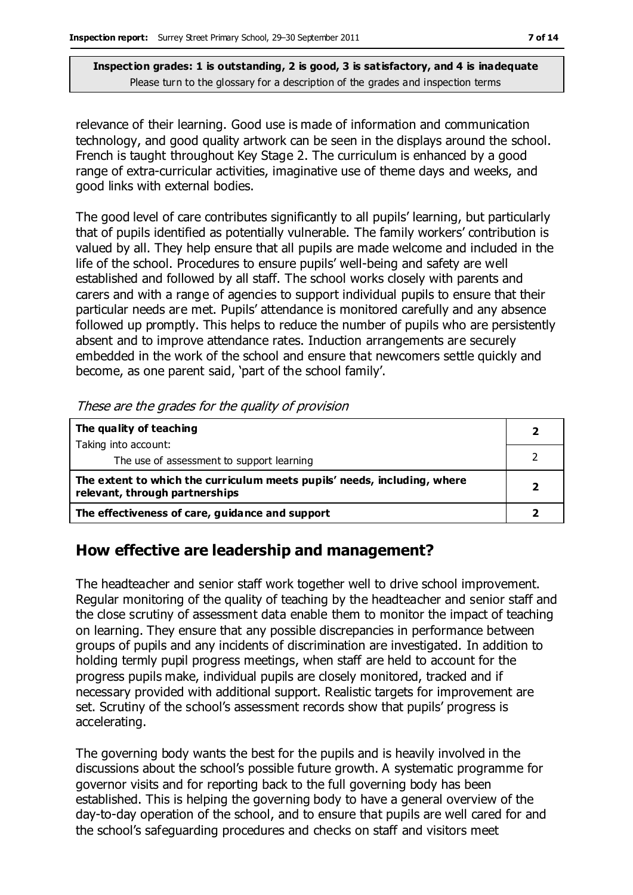relevance of their learning. Good use is made of information and communication technology, and good quality artwork can be seen in the displays around the school. French is taught throughout Key Stage 2. The curriculum is enhanced by a good range of extra-curricular activities, imaginative use of theme days and weeks, and good links with external bodies.

The good level of care contributes significantly to all pupils' learning, but particularly that of pupils identified as potentially vulnerable. The family workers' contribution is valued by all. They help ensure that all pupils are made welcome and included in the life of the school. Procedures to ensure pupils' well-being and safety are well established and followed by all staff. The school works closely with parents and carers and with a range of agencies to support individual pupils to ensure that their particular needs are met. Pupils' attendance is monitored carefully and any absence followed up promptly. This helps to reduce the number of pupils who are persistently absent and to improve attendance rates. Induction arrangements are securely embedded in the work of the school and ensure that newcomers settle quickly and become, as one parent said, 'part of the school family'.

| THESE are the grades for the quality of provision                                                          |  |
|------------------------------------------------------------------------------------------------------------|--|
| The quality of teaching                                                                                    |  |
| Taking into account:                                                                                       |  |
| The use of assessment to support learning                                                                  |  |
| The extent to which the curriculum meets pupils' needs, including, where<br>relevant, through partnerships |  |
| The effectiveness of care, guidance and support                                                            |  |

These are the grades for the quality of provision

#### **How effective are leadership and management?**

The headteacher and senior staff work together well to drive school improvement. Regular monitoring of the quality of teaching by the headteacher and senior staff and the close scrutiny of assessment data enable them to monitor the impact of teaching on learning. They ensure that any possible discrepancies in performance between groups of pupils and any incidents of discrimination are investigated. In addition to holding termly pupil progress meetings, when staff are held to account for the progress pupils make, individual pupils are closely monitored, tracked and if necessary provided with additional support. Realistic targets for improvement are set. Scrutiny of the school's assessment records show that pupils' progress is accelerating.

The governing body wants the best for the pupils and is heavily involved in the discussions about the school's possible future growth. A systematic programme for governor visits and for reporting back to the full governing body has been established. This is helping the governing body to have a general overview of the day-to-day operation of the school, and to ensure that pupils are well cared for and the school's safeguarding procedures and checks on staff and visitors meet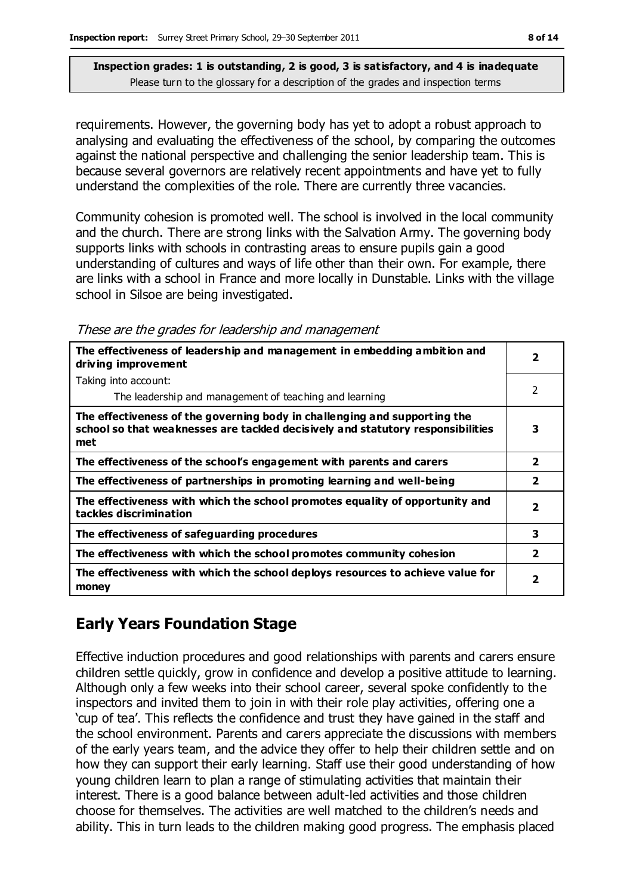requirements. However, the governing body has yet to adopt a robust approach to analysing and evaluating the effectiveness of the school, by comparing the outcomes against the national perspective and challenging the senior leadership team. This is because several governors are relatively recent appointments and have yet to fully understand the complexities of the role. There are currently three vacancies.

Community cohesion is promoted well. The school is involved in the local community and the church. There are strong links with the Salvation Army. The governing body supports links with schools in contrasting areas to ensure pupils gain a good understanding of cultures and ways of life other than their own. For example, there are links with a school in France and more locally in Dunstable. Links with the village school in Silsoe are being investigated.

These are the grades for leadership and management

| The effectiveness of leadership and management in embedding ambition and<br>driving improvement                                                                     | $\overline{\mathbf{2}}$ |
|---------------------------------------------------------------------------------------------------------------------------------------------------------------------|-------------------------|
| Taking into account:                                                                                                                                                |                         |
| The leadership and management of teaching and learning                                                                                                              | $\overline{2}$          |
| The effectiveness of the governing body in challenging and supporting the<br>school so that weaknesses are tackled decisively and statutory responsibilities<br>met | 3                       |
| The effectiveness of the school's engagement with parents and carers                                                                                                | $\overline{\mathbf{2}}$ |
| The effectiveness of partnerships in promoting learning and well-being                                                                                              | $\overline{2}$          |
| The effectiveness with which the school promotes equality of opportunity and<br>tackles discrimination                                                              | 2                       |
| The effectiveness of safeguarding procedures                                                                                                                        | 3                       |
| The effectiveness with which the school promotes community cohesion                                                                                                 | $\overline{2}$          |
| The effectiveness with which the school deploys resources to achieve value for<br>money                                                                             | 2                       |

## **Early Years Foundation Stage**

Effective induction procedures and good relationships with parents and carers ensure children settle quickly, grow in confidence and develop a positive attitude to learning. Although only a few weeks into their school career, several spoke confidently to the inspectors and invited them to join in with their role play activities, offering one a 'cup of tea'. This reflects the confidence and trust they have gained in the staff and the school environment. Parents and carers appreciate the discussions with members of the early years team, and the advice they offer to help their children settle and on how they can support their early learning. Staff use their good understanding of how young children learn to plan a range of stimulating activities that maintain their interest. There is a good balance between adult-led activities and those children choose for themselves. The activities are well matched to the children's needs and ability. This in turn leads to the children making good progress. The emphasis placed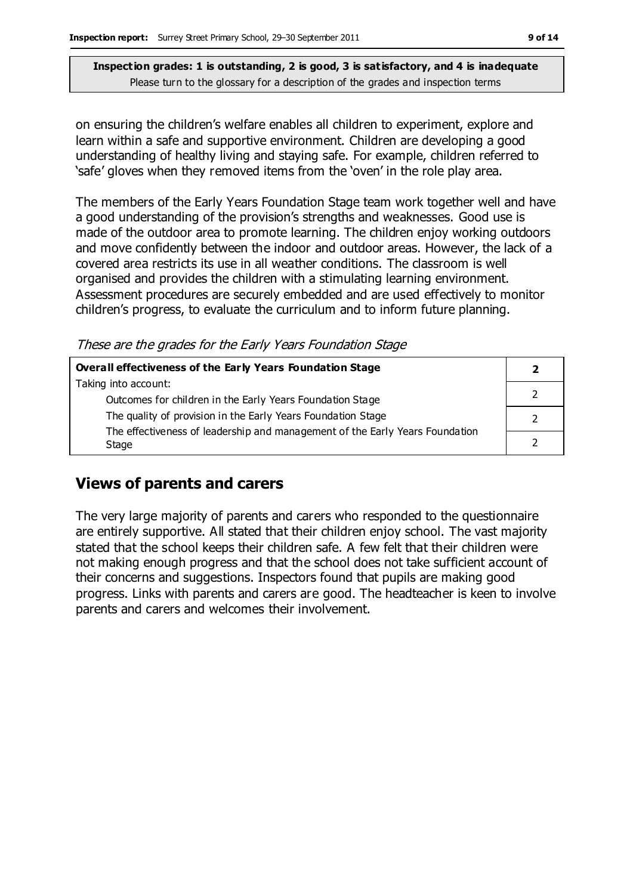on ensuring the children's welfare enables all children to experiment, explore and learn within a safe and supportive environment. Children are developing a good understanding of healthy living and staying safe. For example, children referred to 'safe' gloves when they removed items from the 'oven' in the role play area.

The members of the Early Years Foundation Stage team work together well and have a good understanding of the provision's strengths and weaknesses. Good use is made of the outdoor area to promote learning. The children enjoy working outdoors and move confidently between the indoor and outdoor areas. However, the lack of a covered area restricts its use in all weather conditions. The classroom is well organised and provides the children with a stimulating learning environment. Assessment procedures are securely embedded and are used effectively to monitor children's progress, to evaluate the curriculum and to inform future planning.

These are the grades for the Early Years Foundation Stage

| Overall effectiveness of the Early Years Foundation Stage                             |  |
|---------------------------------------------------------------------------------------|--|
| Taking into account:                                                                  |  |
| Outcomes for children in the Early Years Foundation Stage                             |  |
| The quality of provision in the Early Years Foundation Stage                          |  |
| The effectiveness of leadership and management of the Early Years Foundation<br>Stage |  |

## **Views of parents and carers**

The very large majority of parents and carers who responded to the questionnaire are entirely supportive. All stated that their children enjoy school. The vast majority stated that the school keeps their children safe. A few felt that their children were not making enough progress and that the school does not take sufficient account of their concerns and suggestions. Inspectors found that pupils are making good progress. Links with parents and carers are good. The headteacher is keen to involve parents and carers and welcomes their involvement.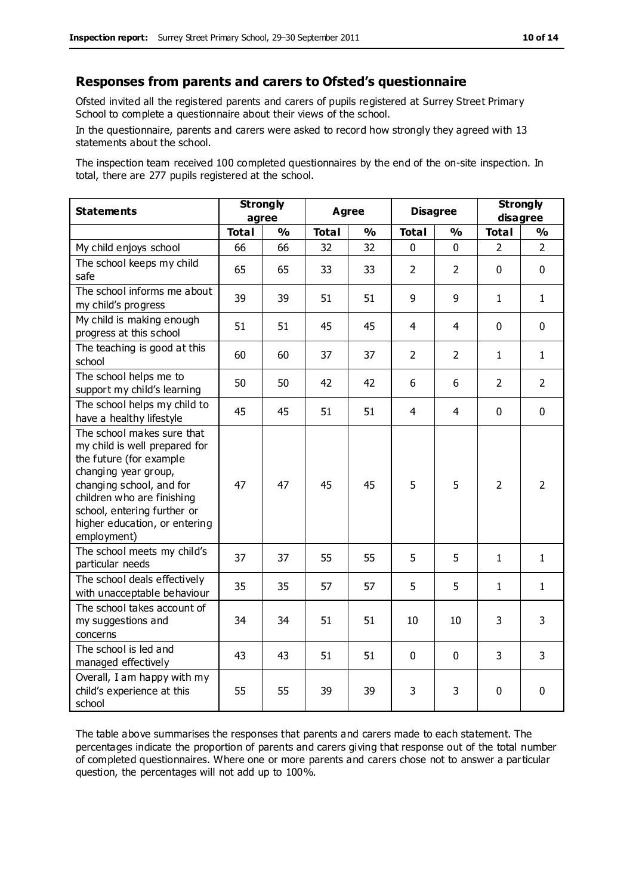#### **Responses from parents and carers to Ofsted's questionnaire**

Ofsted invited all the registered parents and carers of pupils registered at Surrey Street Primary School to complete a questionnaire about their views of the school.

In the questionnaire, parents and carers were asked to record how strongly they agreed with 13 statements about the school.

The inspection team received 100 completed questionnaires by the end of the on-site inspection. In total, there are 277 pupils registered at the school.

| <b>Statements</b>                                                                                                                                                                                                                                       | <b>Strongly</b><br>agree |               | <b>Agree</b> |               | <b>Disagree</b> |                | <b>Strongly</b><br>disagree |                |
|---------------------------------------------------------------------------------------------------------------------------------------------------------------------------------------------------------------------------------------------------------|--------------------------|---------------|--------------|---------------|-----------------|----------------|-----------------------------|----------------|
|                                                                                                                                                                                                                                                         | <b>Total</b>             | $\frac{0}{0}$ | <b>Total</b> | $\frac{1}{2}$ | <b>Total</b>    | $\frac{0}{0}$  | <b>Total</b>                | $\frac{1}{2}$  |
| My child enjoys school                                                                                                                                                                                                                                  | 66                       | 66            | 32           | 32            | 0               | 0              | $\mathcal{P}$               | $\overline{2}$ |
| The school keeps my child<br>safe                                                                                                                                                                                                                       | 65                       | 65            | 33           | 33            | $\overline{2}$  | $\overline{2}$ | $\mathbf{0}$                | $\mathbf 0$    |
| The school informs me about<br>my child's progress                                                                                                                                                                                                      | 39                       | 39            | 51           | 51            | 9               | 9              | $\mathbf{1}$                | $\mathbf{1}$   |
| My child is making enough<br>progress at this school                                                                                                                                                                                                    | 51                       | 51            | 45           | 45            | $\overline{4}$  | 4              | $\mathbf 0$                 | $\mathbf 0$    |
| The teaching is good at this<br>school                                                                                                                                                                                                                  | 60                       | 60            | 37           | 37            | $\overline{2}$  | $\overline{2}$ | $\mathbf{1}$                | $\mathbf{1}$   |
| The school helps me to<br>support my child's learning                                                                                                                                                                                                   | 50                       | 50            | 42           | 42            | 6               | 6              | $\overline{2}$              | $\overline{2}$ |
| The school helps my child to<br>have a healthy lifestyle                                                                                                                                                                                                | 45                       | 45            | 51           | 51            | 4               | 4              | $\mathbf 0$                 | $\mathbf 0$    |
| The school makes sure that<br>my child is well prepared for<br>the future (for example<br>changing year group,<br>changing school, and for<br>children who are finishing<br>school, entering further or<br>higher education, or entering<br>employment) | 47                       | 47            | 45           | 45            | 5               | 5              | $\overline{2}$              | $\overline{2}$ |
| The school meets my child's<br>particular needs                                                                                                                                                                                                         | 37                       | 37            | 55           | 55            | 5               | 5              | $\mathbf 1$                 | $\mathbf{1}$   |
| The school deals effectively<br>with unacceptable behaviour                                                                                                                                                                                             | 35                       | 35            | 57           | 57            | 5               | 5              | 1                           | 1              |
| The school takes account of<br>my suggestions and<br>concerns                                                                                                                                                                                           | 34                       | 34            | 51           | 51            | 10              | 10             | 3                           | 3              |
| The school is led and<br>managed effectively                                                                                                                                                                                                            | 43                       | 43            | 51           | 51            | $\mathbf 0$     | $\mathbf 0$    | 3                           | 3              |
| Overall, I am happy with my<br>child's experience at this<br>school                                                                                                                                                                                     | 55                       | 55            | 39           | 39            | 3               | 3              | $\mathbf 0$                 | $\mathbf 0$    |

The table above summarises the responses that parents and carers made to each statement. The percentages indicate the proportion of parents and carers giving that response out of the total number of completed questionnaires. Where one or more parents and carers chose not to answer a particular question, the percentages will not add up to 100%.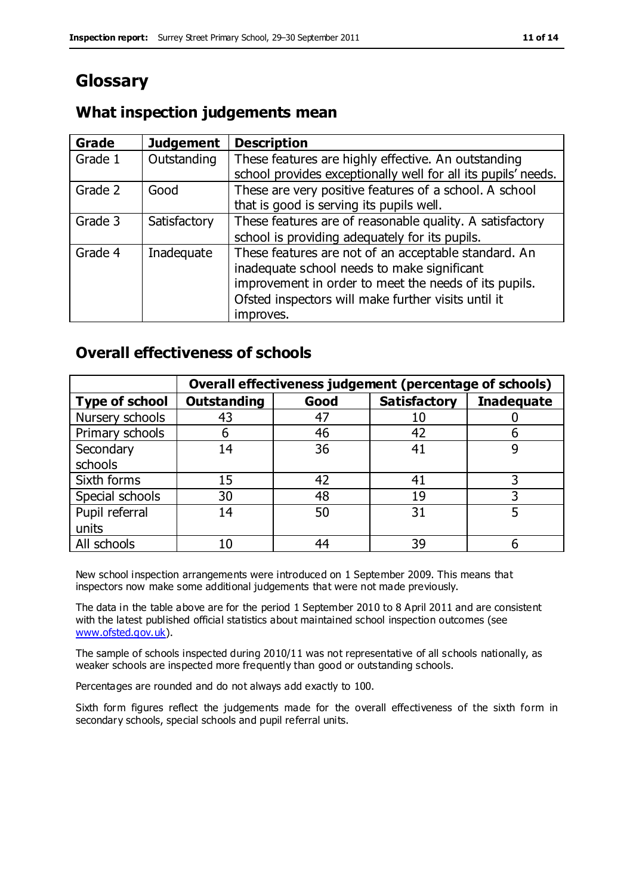## **Glossary**

#### **What inspection judgements mean**

| <b>Grade</b> | <b>Judgement</b> | <b>Description</b>                                            |
|--------------|------------------|---------------------------------------------------------------|
| Grade 1      | Outstanding      | These features are highly effective. An outstanding           |
|              |                  | school provides exceptionally well for all its pupils' needs. |
| Grade 2      | Good             | These are very positive features of a school. A school        |
|              |                  | that is good is serving its pupils well.                      |
| Grade 3      | Satisfactory     | These features are of reasonable quality. A satisfactory      |
|              |                  | school is providing adequately for its pupils.                |
| Grade 4      | Inadequate       | These features are not of an acceptable standard. An          |
|              |                  | inadequate school needs to make significant                   |
|              |                  | improvement in order to meet the needs of its pupils.         |
|              |                  | Ofsted inspectors will make further visits until it           |
|              |                  | improves.                                                     |

#### **Overall effectiveness of schools**

|                       |                    |      | Overall effectiveness judgement (percentage of schools) |                   |
|-----------------------|--------------------|------|---------------------------------------------------------|-------------------|
| <b>Type of school</b> | <b>Outstanding</b> | Good | <b>Satisfactory</b>                                     | <b>Inadequate</b> |
| Nursery schools       | 43                 | 47   | 10                                                      |                   |
| Primary schools       | 6                  | 46   | 42                                                      |                   |
| Secondary             | 14                 | 36   | 41                                                      |                   |
| schools               |                    |      |                                                         |                   |
| Sixth forms           | 15                 | 42   | 41                                                      | 3                 |
| Special schools       | 30                 | 48   | 19                                                      |                   |
| Pupil referral        | 14                 | 50   | 31                                                      |                   |
| units                 |                    |      |                                                         |                   |
| All schools           | 10                 | 44   | 39                                                      |                   |

New school inspection arrangements were introduced on 1 September 2009. This means that inspectors now make some additional judgements that were not made previously.

The data in the table above are for the period 1 September 2010 to 8 April 2011 and are consistent with the latest published official statistics about maintained school inspection outcomes (see [www.ofsted.gov.uk\)](http://www.ofsted.gov.uk/).

The sample of schools inspected during 2010/11 was not representative of all schools nationally, as weaker schools are inspected more frequently than good or outstanding schools.

Percentages are rounded and do not always add exactly to 100.

Sixth form figures reflect the judgements made for the overall effectiveness of the sixth form in secondary schools, special schools and pupil referral units.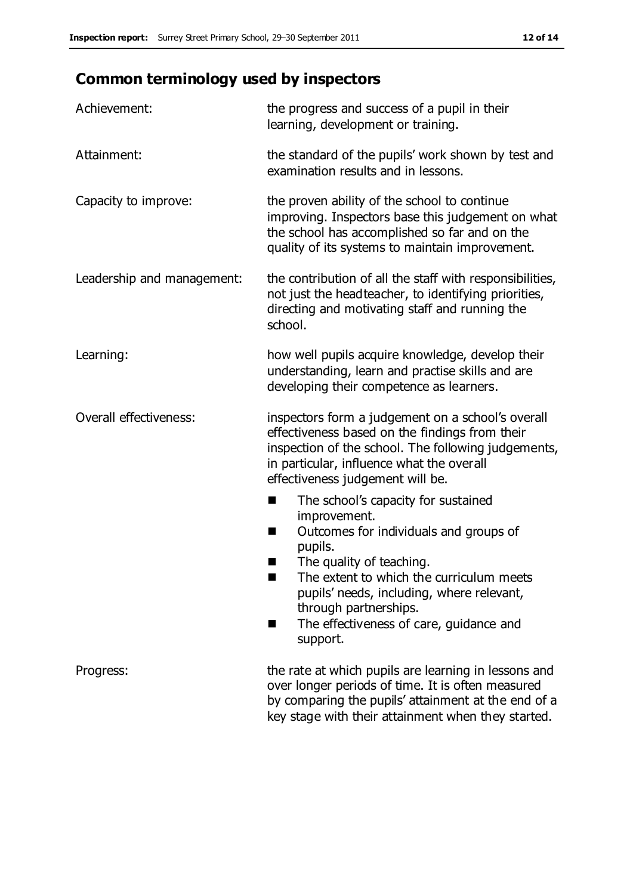# **Common terminology used by inspectors**

| Achievement:               | the progress and success of a pupil in their<br>learning, development or training.                                                                                                                                                                                                                                             |  |  |
|----------------------------|--------------------------------------------------------------------------------------------------------------------------------------------------------------------------------------------------------------------------------------------------------------------------------------------------------------------------------|--|--|
| Attainment:                | the standard of the pupils' work shown by test and<br>examination results and in lessons.                                                                                                                                                                                                                                      |  |  |
| Capacity to improve:       | the proven ability of the school to continue<br>improving. Inspectors base this judgement on what<br>the school has accomplished so far and on the<br>quality of its systems to maintain improvement.                                                                                                                          |  |  |
| Leadership and management: | the contribution of all the staff with responsibilities,<br>not just the headteacher, to identifying priorities,<br>directing and motivating staff and running the<br>school.                                                                                                                                                  |  |  |
| Learning:                  | how well pupils acquire knowledge, develop their<br>understanding, learn and practise skills and are<br>developing their competence as learners.                                                                                                                                                                               |  |  |
| Overall effectiveness:     | inspectors form a judgement on a school's overall<br>effectiveness based on the findings from their<br>inspection of the school. The following judgements,<br>in particular, influence what the overall<br>effectiveness judgement will be.                                                                                    |  |  |
|                            | The school's capacity for sustained<br>٠<br>improvement.<br>Outcomes for individuals and groups of<br>ш<br>pupils.<br>The quality of teaching.<br>The extent to which the curriculum meets<br>a s<br>pupils' needs, including, where relevant,<br>through partnerships.<br>The effectiveness of care, guidance and<br>support. |  |  |
| Progress:                  | the rate at which pupils are learning in lessons and<br>over longer periods of time. It is often measured<br>by comparing the pupils' attainment at the end of a<br>key stage with their attainment when they started.                                                                                                         |  |  |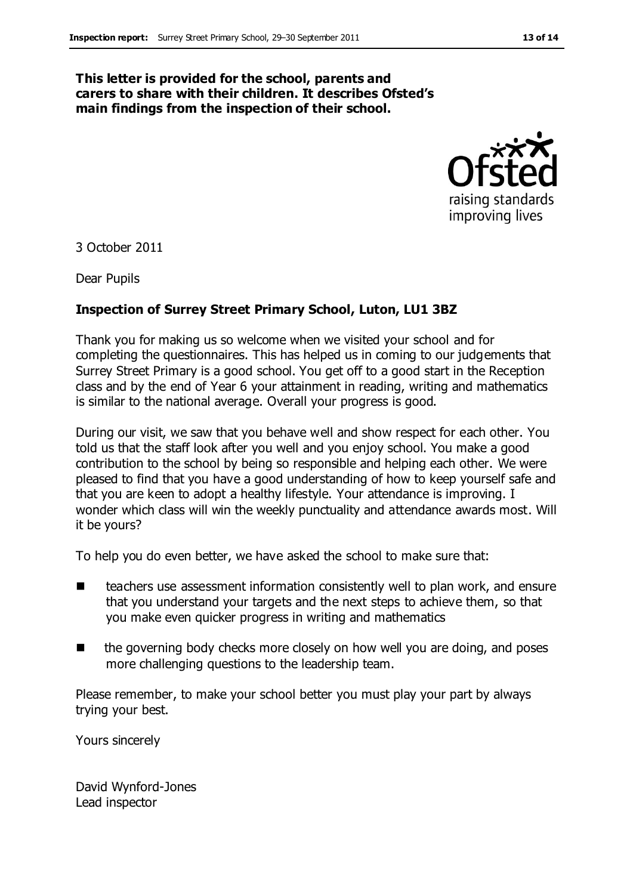#### **This letter is provided for the school, parents and carers to share with their children. It describes Ofsted's main findings from the inspection of their school.**



3 October 2011

Dear Pupils

#### **Inspection of Surrey Street Primary School, Luton, LU1 3BZ**

Thank you for making us so welcome when we visited your school and for completing the questionnaires. This has helped us in coming to our judgements that Surrey Street Primary is a good school. You get off to a good start in the Reception class and by the end of Year 6 your attainment in reading, writing and mathematics is similar to the national average. Overall your progress is good.

During our visit, we saw that you behave well and show respect for each other. You told us that the staff look after you well and you enjoy school. You make a good contribution to the school by being so responsible and helping each other. We were pleased to find that you have a good understanding of how to keep yourself safe and that you are keen to adopt a healthy lifestyle. Your attendance is improving. I wonder which class will win the weekly punctuality and attendance awards most. Will it be yours?

To help you do even better, we have asked the school to make sure that:

- teachers use assessment information consistently well to plan work, and ensure that you understand your targets and the next steps to achieve them, so that you make even quicker progress in writing and mathematics
- the governing body checks more closely on how well you are doing, and poses more challenging questions to the leadership team.

Please remember, to make your school better you must play your part by always trying your best.

Yours sincerely

David Wynford-Jones Lead inspector